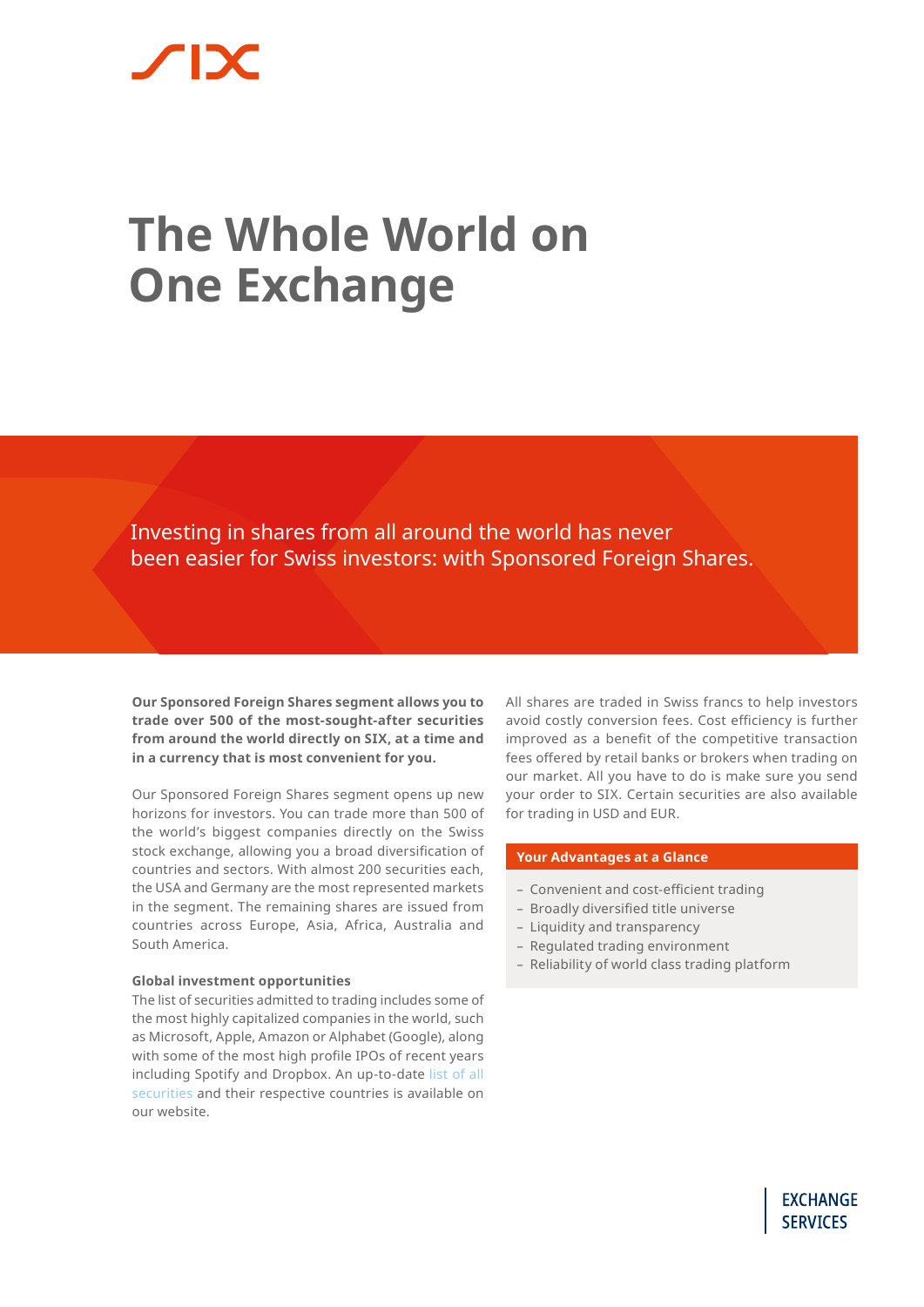# **The Whole World on One Exchange**

Investing in shares from all around the world has never been easier for Swiss investors: with Sponsored Foreign Shares.

**Our Sponsored Foreign Shares segment allows you to trade over 500 of the most-sought-after securities from around the world directly on SIX, at a time and in a currency that is most convenient for you.**

Our Sponsored Foreign Shares segment opens up new horizons for investors. You can trade more than 500 of the world's biggest companies directly on the Swiss stock exchange, allowing you a broad diversification of countries and sectors. With almost 200 securities each, the USA and Germany are the most represented markets in the segment. The remaining shares are issued from countries across Europe, Asia, Africa, Australia and South America.

# **Global investment opportunities**

The list of securities admitted to trading includes some of the most highly capitalized companies in the world, such as Microsoft, Apple, Amazon or Alphabet (Google), along with some of the most high profile IPOs of recent years including Spotify and Dropbox. An up-to-date [list of all](https://www.six-group.com/exchanges/shares/sfs_en.html)  [securities](https://www.six-group.com/exchanges/shares/sfs_en.html) and their respective countries is available on our website.

All shares are traded in Swiss francs to help investors avoid costly conversion fees. Cost efficiency is further improved as a benefit of the competitive transaction fees offered by retail banks or brokers when trading on our market. All you have to do is make sure you send your order to SIX. Certain securities are also available for trading in USD and EUR.

# **Your Advantages at a Glance**

- Convenient and cost-efficient trading
- Broadly diversified title universe
- Liquidity and transparency
- Regulated trading environment
- Reliability of world class trading platform